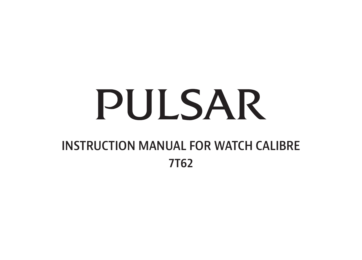# **PULSAR**

## INSTRUCTION MANUAL FOR WATCH CALIBRE 7T62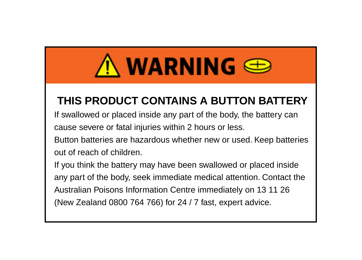## $\Lambda$  warning  $\oplus$

## **THIS PRODUCT CONTAINS A BUTTON BATTERY**

If swallowed or placed inside any part of the body, the battery can cause severe or fatal injuries within 2 hours or less.

Button batteries are hazardous whether new or used. Keep batteries out of reach of children.

If you think the battery may have been swallowed or placed inside any part of the body, seek immediate medical attention. Contact the Australian Poisons Information Centre immediately on 13 11 26 (New Zealand 0800 764 766) for 24 / 7 fast, expert advice.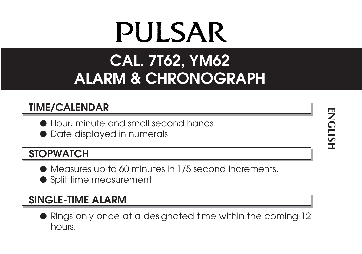## **PULSAR**

## **CAL. 7T62, YM62 ALARM & CHRONOGRAPH**

#### **TIME/CALENDAR**

- Hour, minute and small second hands
- Date displayed in numerals

#### **STOPWATCH**

- Measures up to 60 minutes in 1/5 second increments.
- Split time measurement

### **SINGLE-TIME ALARM**

● Rings only once at a designated time within the coming 12 hours.

**ENCLISH ENGLISH**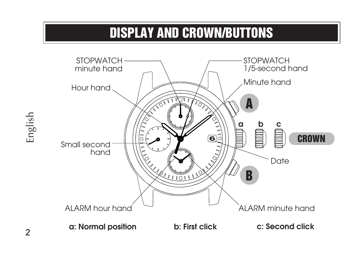## **DISPLAY AND CROWN/BUTTONS**

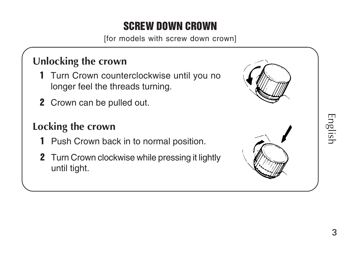## **SCREW DOWN CROWN**

[for models with screw down crown]

## **Unlocking the crown**

- **1** Turn Crown counterclockwise until you no longer feel the threads turning.
- **2** Crown can be pulled out.

## **Locking the crown**

- **1** Push Crown back in to normal position.
- **2** Turn Crown clockwise while pressing it lightly until tight.

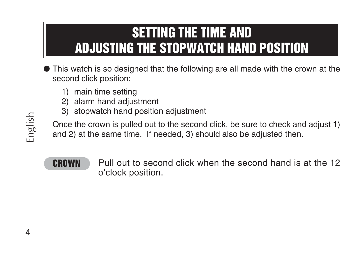## **SETTING THE TIME AND ADJUSTING THE STOPWATCH HAND POSITION**

- This watch is so designed that the following are all made with the crown at the second click position:
	- 1) main time setting
	- 2) alarm hand adjustment
	- 3) stopwatch hand position adjustment

Once the crown is pulled out to the second click, be sure to check and adjust 1) and 2) at the same time. If needed, 3) should also be adjusted then.

**CROWN** Pull out to second click when the second hand is at the 12 o'clock position.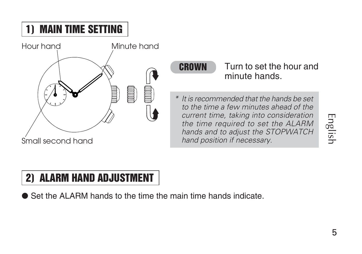English

## **1) MAIN TIME SETTING**



**CROWN** Turn to set the hour and minute hands.

 It is recommended that the hands be set to the time a few minutes ahead of the current time, taking into consideration the time required to set the ALARM hands and to adjust the STOPWATCH hand position if necessary.

## **2) ALARM HAND ADJUSTMENT**

● Set the ALARM hands to the time the main time hands indicate.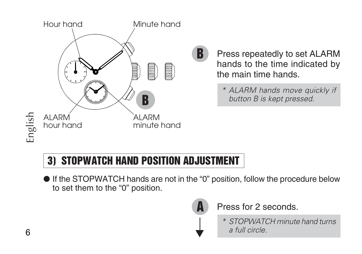

**B** Press repeatedly to set ALARM hands to the time indicated by the main time hands.

*\* ALARM hands move quickly if button B is kept pressed.*

## **3) STOPWATCH HAND POSITION ADJUSTMENT**

● If the STOPWATCH hands are not in the "0" position, follow the procedure below to set them to the "0" position.



**A** Press for 2 seconds.

*\* STOPWATCH minute hand turns* ▲ *a full circle.*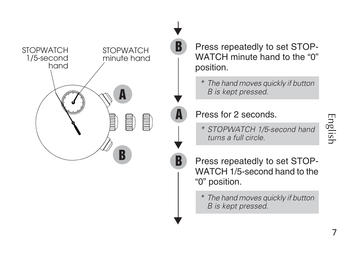

Press repeatedly to set STOP-WATCH minute hand to the "0" position.

*\* The hand moves quickly if button*  $B$  *is kept pressed.* 

#### **A** Press for 2 seconds.

▼

*\* STOPWATCH 1/5-second hand* ▲ *turns a full circle.*

Press repeatedly to set STOP-WATCH 1/5-second hand to the "0" position.

*\* The hand moves quickly if button B is kept pressed.*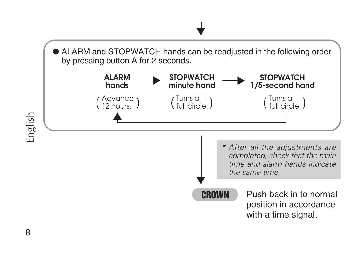

8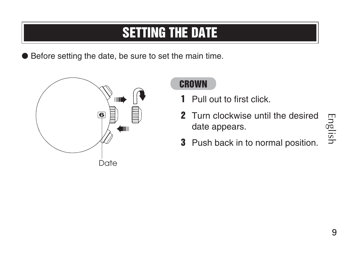## **SETTING THE DATE**

● Before setting the date, be sure to set the main time.



#### **CROWN**

- **1** Pull out to first click.
- **2** Turn clockwise until the desired date appears.
- **3** Push back in to normal position.
- English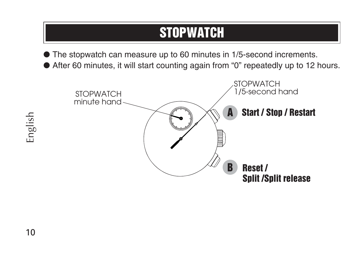## **STOPWATCH**

● The stopwatch can measure up to 60 minutes in 1/5-second increments.

● After 60 minutes, it will start counting again from "0" repeatedly up to 12 hours.

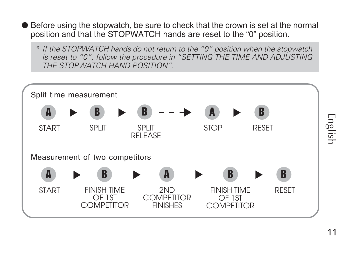- Before using the stopwatch, be sure to check that the crown is set at the normal position and that the STOPWATCH hands are reset to the "0" position.
	- *\* If the STOPWATCH hands do not return to the "0" position when the stopwatch is reset to "0", follow the procedure in "SETTING THE TIME AND ADJUSTING THE STOPWATCH HAND POSITION".*

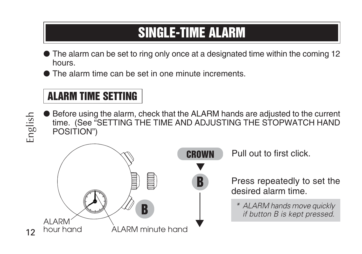## **SINGLE-TIME ALARM**

- The alarm can be set to ring only once at a designated time within the coming 12 hours.
- The alarm time can be set in one minute increments.

## **ALARM TIME SETTING**

● Before using the alarm, check that the ALARM hands are adjusted to the current time. (See "SETTING THE TIME AND ADJUSTING THE STOPWATCH HAND POSITION")



**CROWN** Pull out to first click.

**B** Press repeatedly to set the desired alarm time.

*\* ALARM hands move quickly if button B is kept pressed.*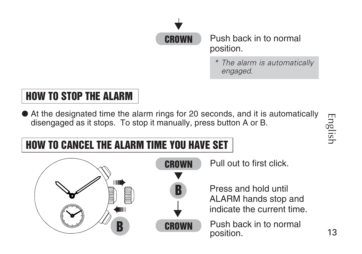

Push back in to normal position.

*\* The alarm is automatically engaged.*

## **HOW TO STOP THE ALARM**

● At the designated time the alarm rings for 20 seconds, and it is automatically disengaged as it stops. To stop it manually, press button A or B.

English

## **HOW TO CANCEL THE ALARM TIME YOU HAVE SET**



**CROWN** Pull out to first click.

Press and hold until ALARM hands stop and indicate the current time.

Push back in to normal position.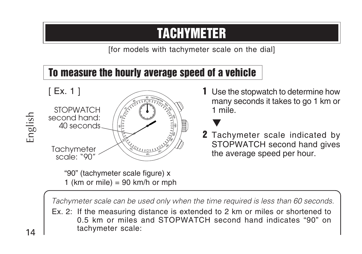## **TACHYMETER**

[for models with tachymeter scale on the dial]

### **To measure the hourly average speed of a vehicle**



"90" (tachymeter scale figure) x 1 (km or mile) = 90 km/h or mph **1** Use the stopwatch to determine how many seconds it takes to go 1 km or 1 mile.

▼

**2** Tachymeter scale indicated by STOPWATCH second hand gives the average speed per hour.

*Tachymeter scale can be used only when the time required is less than 60 seconds.*

Ex. 2: If the measuring distance is extended to 2 km or miles or shortened to 0.5 km or miles and STOPWATCH second hand indicates "90" on tachymeter scale: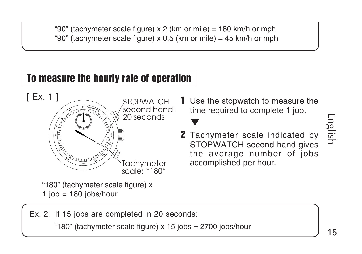"90" (tachymeter scale figure) x 2 (km or mile) = 180 km/h or mph "90" (tachymeter scale figure)  $\times$  0.5 (km or mile) = 45 km/h or mph

#### **To measure the hourly rate of operation**



"180" (tachymeter scale figure) x  $1$  job =  $180$  jobs/hour

**1** Use the stopwatch to measure the time required to complete 1 job.

**2** Tachymeter scale indicated by STOPWATCH second hand gives the average number of jobs accomplished per hour.

English

Ex. 2: If 15 jobs are completed in 20 seconds:

"180" (tachymeter scale figure) x 15 jobs = 2700 jobs/hour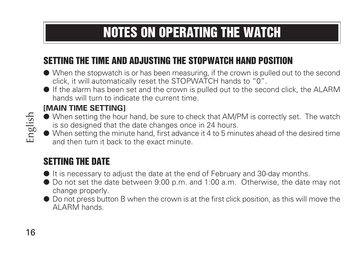## **NOTES ON OPERATING THE WATCH**

#### **SETTING THE TIME AND ADJUSTING THE STOPWATCH HAND POSITION**

- When the stopwatch is or has been measuring, if the crown is pulled out to the second click, it will automatically reset the STOPWATCH hands to "0".
- If the alarm has been set and the crown is pulled out to the second click, the ALARM hands will turn to indicate the current time.

#### **[MAIN TIME SETTING]**

- When setting the hour hand, be sure to check that AM/PM is correctly set. The watch is so designed that the date changes once in 24 hours.
- When setting the minute hand, first advance it 4 to 5 minutes ahead of the desired time and then turn it back to the exact minute.

#### **SETTING THE DATE**

- It is necessary to adjust the date at the end of February and 30-day months.
- Do not set the date between 9:00 p.m. and 1:00 a.m. Otherwise, the date may not change properly.
- Do not press button B when the crown is at the first click position, as this will move the ALARM hands.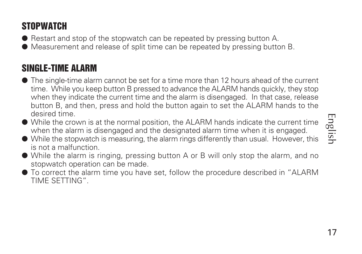English

### **STOPWATCH**

● Restart and stop of the stopwatch can be repeated by pressing button A.

● Measurement and release of split time can be repeated by pressing button B.

#### **SINGLE-TIME ALARM**

- The single-time alarm cannot be set for a time more than 12 hours ahead of the current time. While you keep button B pressed to advance the ALARM hands quickly, they stop when they indicate the current time and the alarm is disengaged. In that case, release button B, and then, press and hold the button again to set the ALARM hands to the desired time.
- While the crown is at the normal position, the ALARM hands indicate the current time when the alarm is disengaged and the designated alarm time when it is engaged.
- While the stopwatch is measuring, the alarm rings differently than usual. However, this is not a malfunction.
- While the alarm is ringing, pressing button A or B will only stop the alarm, and no stopwatch operation can be made.
- To correct the alarm time you have set, follow the procedure described in "ALARM TIME SETTING".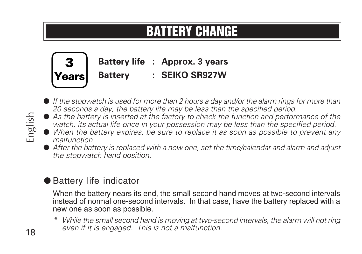## **BATTERY CHANGE**



- *If the stopwatch is used for more than 2 hours a day and/or the alarm rings for more than 20 seconds a day, the battery life may be less than the specified period.*
- As the battery is inserted at the factory to check the function and performance of the *watch, its actual life once in your possession may be less than the specified period.*
- *When the battery expires, be sure to replace it as soon as possible to prevent any malfunction.*
- After the battery is replaced with a new one, set the time/calendar and alarm and adjust *the stopwatch hand position.*

#### ● Battery life indicator

When the battery nears its end, the small second hand moves at two-second intervals instead of normal one-second intervals. In that case, have the battery replaced with a new one as soon as possible.

*\* While the small second hand is moving at two-second intervals, the alarm will not ring even if it is engaged. This is not a malfunction.*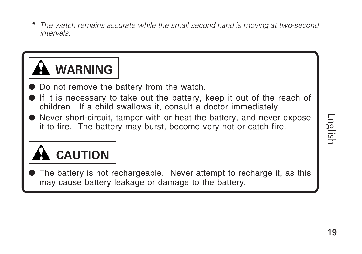*\* The watch remains accurate while the small second hand is moving at two-second intervals.*



- Do not remove the battery from the watch.
- If it is necessary to take out the battery, keep it out of the reach of children. If a child swallows it, consult a doctor immediately.
- Never short-circuit, tamper with or heat the battery, and never expose it to fire. The battery may burst, become very hot or catch fire.

## **CAUTION**

The battery is not rechargeable. Never attempt to recharge it, as this may cause battery leakage or damage to the battery.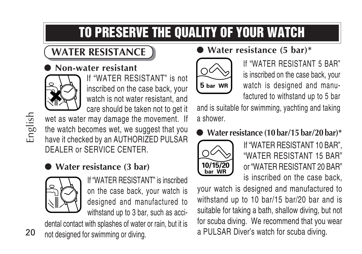## **TO PRESERVE THE QUALITY OF YOUR WATCH**

## **WATER RESISTANCE**

#### ● **Non-water resistant**



If "WATER RESISTANT" is not inscribed on the case back, your watch is not water resistant, and care should be taken not to get it

wet as water may damage the movement. If the watch becomes wet, we suggest that you have it checked by an AUTHORIZED PULSAR DEALER or SERVICE CENTER.

### ● **Water resistance (3 bar)**



If "WATER RESISTANT" is inscribed on the case back, your watch is designed and manufactured to withstand up to 3 bar, such as acci-

20 dental contact with splashes of water or rain, but it is not designed for swimming or diving.

● **Water resistance (5 bar)\***



If "WATER RESISTANT 5 BAR" is inscribed on the case back, your watch is designed and manufactured to withstand up to 5 bar

and is suitable for swimming, yachting and taking a shower.

### ● **Water resistance (10 bar/15 bar/20 bar)\***



If "WATER RESISTANT 10 BAR", "WATER RESISTANT 15 BAR" or "WATER RESISTANT 20 BAR" is inscribed on the case back,

your watch is designed and manufactured to withstand up to 10 bar/15 bar/20 bar and is suitable for taking a bath, shallow diving, but not for scuba diving. We recommend that you wear a PULSAR Diver's watch for scuba diving.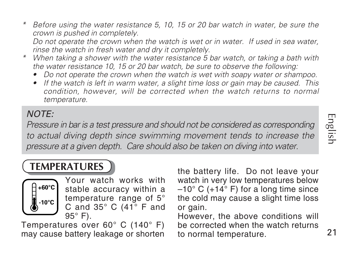English

*\* Before using the water resistance 5, 10, 15 or 20 bar watch in water, be sure the crown is pushed in completely.*

*Do not operate the crown when the watch is wet or in water. If used in sea water, rinse the watch in fresh water and dry it completely.*

- *\* When taking a shower with the water resistance 5 bar watch, or taking a bath with the water resistance 10, 15 or 20 bar watch, be sure to observe the following:*
	- *Do not operate the crown when the watch is wet with soapy water or shampoo.*
	- *If the watch is left in warm water, a slight time loss or gain may be caused. This condition, however, will be corrected when the watch returns to normal temperature.*

#### NOTE:

*Pressure in bar is a test pressure and should not be considered as corresponding to actual diving depth since swimming movement tends to increase the pressure at a given depth. Care should also be taken on diving into water.*

### **TEMPERATURES**



Your watch works with stable accuracy within a temperature range of 5° C and 35° C (41° F and 95° F).

Temperatures over 60° C (140° F) may cause battery leakage or shorten the battery life. Do not leave your watch in very low temperatures below  $-10^{\circ}$  C (+14 $^{\circ}$  F) for a long time since the cold may cause a slight time loss or gain.

However, the above conditions will be corrected when the watch returns to normal temperature.